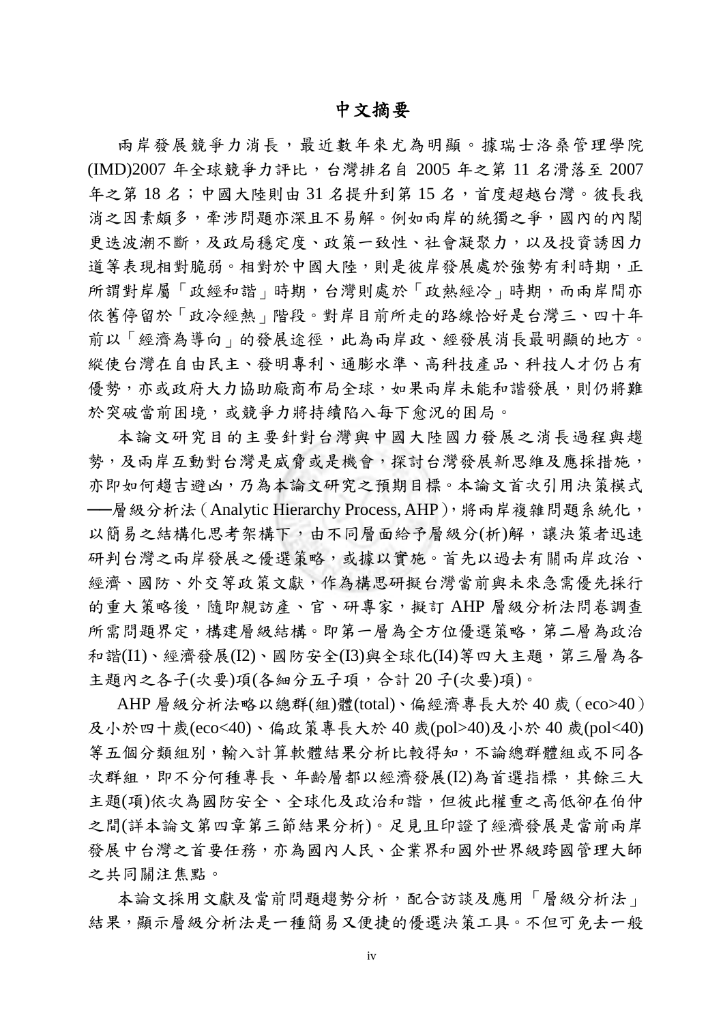## 中文摘要

兩岸發展競爭力消長,最近數年來尤為明顯。據瑞士洛桑管理學院 (IMD)2007 年全球競爭力評比,台灣排名自 2005 年之第 11 名滑落至 2007 年之第18名;中國大陸則由31名提升到第15名,首度超越台灣。彼長我 消之因素頗多,牽涉問題亦深且不易解。例如兩岸的統獨之爭,國內的內閣 更迭波潮不斷,及政局穩定度、政策一致性、社會凝聚力,以及投資誘因力 道等表現相對脆弱。相對於中國大陸,則是彼岸發展處於強勢有利時期,正 所謂對岸屬「政經和諧」時期,台灣則處於「政熱經冷」時期,而兩岸間亦 依舊停留於「政冷經熱」階段。對岸目前所走的路線恰好是台灣三、四十年 前以「經濟為導向」的發展途徑,此為兩岸政、經發展消長最明顯的地方。 縱使台灣在自由民主、發明專利、通膨水準、高科技產品、科技人才仍占有 優勢,亦或政府大力協助廠商布局全球,如果兩岸未能和諧發展,則仍將難 於突破當前困境,或競爭力將持續陷入每下愈況的困局。

本論文研究目的主要針對台灣與中國大陸國力發展之消長過程與趨 勢,及兩岸互動對台灣是威脅或是機會,探討台灣發展新思維及應採措施, 亦即如何趨吉避凶,乃為本論文研究之預期目標。本論文首次引用決策模式 ---層級分析法 (Analytic Hierarchy Process, AHP), 將兩岸複雜問題系統化, 以簡易之結構化思考架構下,由不同層面給予層級分(析)解,讓決策者迅速 研判台灣之兩岸發展之優選策略,或據以實施。首先以過去有關兩岸政治、 經濟、國防、外交等政策文獻,作為構思研擬台灣當前與未來急需優先採行 的重大策略後,隨即親訪產、官、研專家,擬訂 AHP 層級分析法問卷調查 所需問題界定,構建層級結構。即第一層為全方位優選策略,第二層為政治 和諧(I1)、經濟發展(I2)、國防安全(I3)與全球化(I4)等四大主題,第三層為各 主題內之各子(次要)項(各細分五子項,合計 20 子(次要)項)。

AHP 層級分析法略以總群(組)體(total)、偏經濟專長大於 40 歲(eco>40) 及小於四十歲(eco<40)、偏政策專長大於 40 歲(pol>40)及小於 40 歲(pol<40) 等五個分類組別,輸入計算軟體結果分析比較得知,不論總群體組或不同各 次群組,即不分何種專長、年齡層都以經濟發展(I2)為首選指標,其餘三大 主題(項)依次為國防安全、全球化及政治和諧,但彼此權重之高低卻在伯仲 之間(詳本論文第四章第三節結果分析)。足見且印證了經濟發展是當前兩岸 發展中台灣之首要任務,亦為國內人民、企業界和國外世界級跨國管理大師 之共同關注焦點。

本論文採用文獻及當前問題趨勢分析,配合訪談及應用「層級分析法」 結果,顯示層級分析法是一種簡易又便捷的優選決策工具。不但可免去一般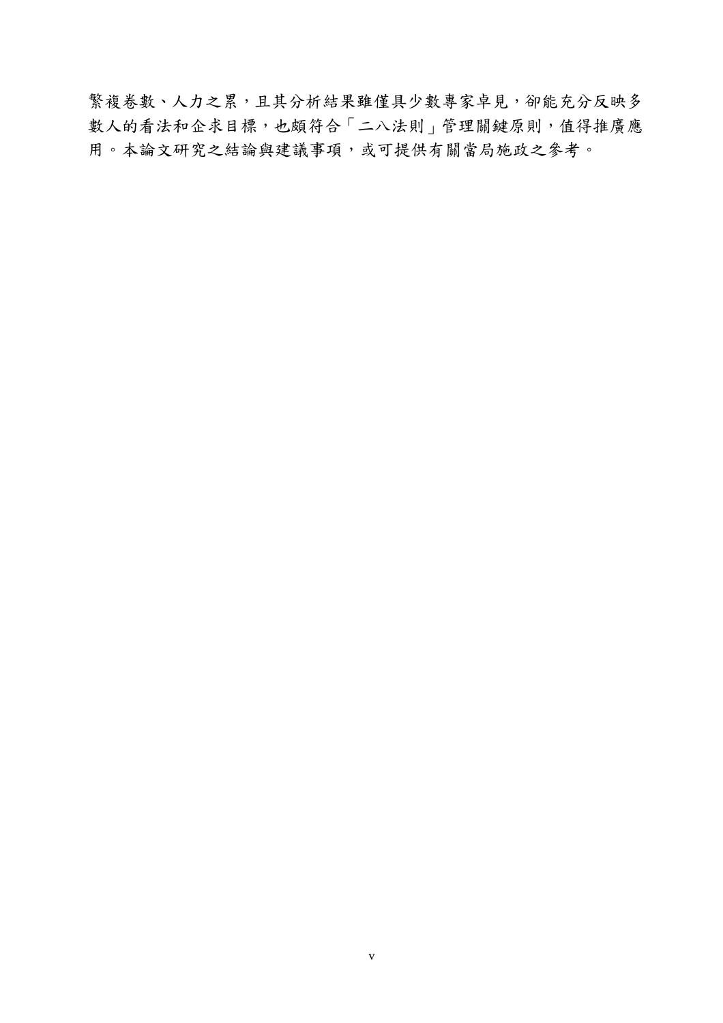繁複卷數、人力之累,且其分析結果雖僅具少數專家卓見,卻能充分反映多 數人的看法和企求目標,也頗符合「二八法則」管理關鍵原則,值得推廣應 用。本論文研究之結論與建議事項,或可提供有關當局施政之參考。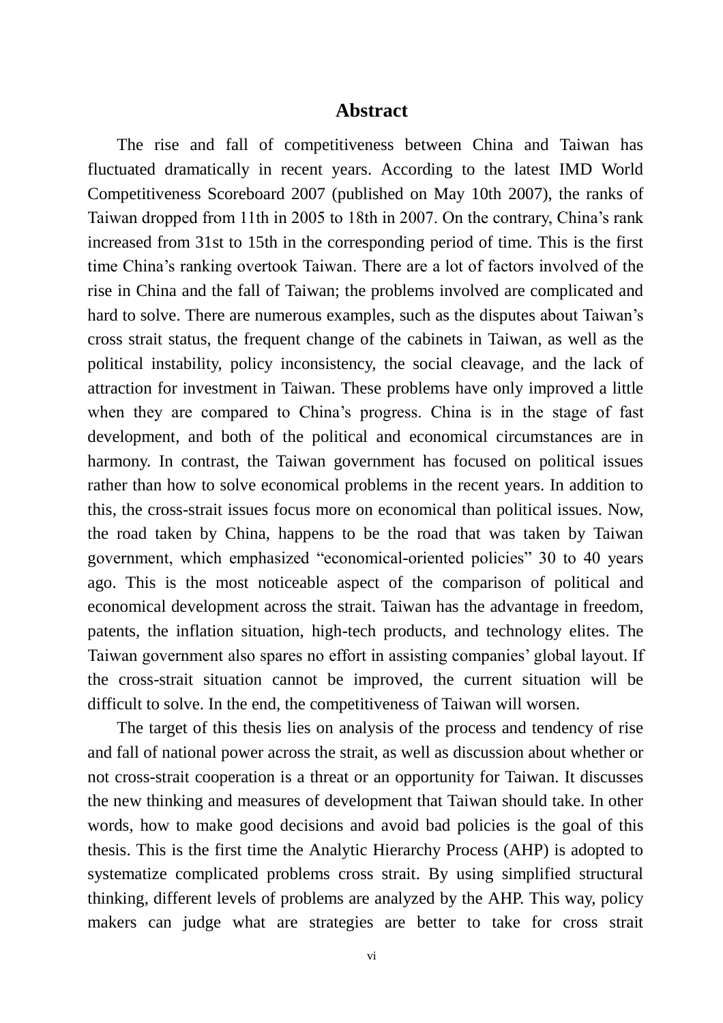## **Abstract**

The rise and fall of competitiveness between China and Taiwan has fluctuated dramatically in recent years. According to the latest IMD World Competitiveness Scoreboard 2007 (published on May 10th 2007), the ranks of Taiwan dropped from 11th in 2005 to 18th in 2007. On the contrary, China's rank increased from 31st to 15th in the corresponding period of time. This is the first time China's ranking overtook Taiwan. There are a lot of factors involved of the rise in China and the fall of Taiwan; the problems involved are complicated and hard to solve. There are numerous examples, such as the disputes about Taiwan's cross strait status, the frequent change of the cabinets in Taiwan, as well as the political instability, policy inconsistency, the social cleavage, and the lack of attraction for investment in Taiwan. These problems have only improved a little when they are compared to China's progress. China is in the stage of fast development, and both of the political and economical circumstances are in harmony. In contrast, the Taiwan government has focused on political issues rather than how to solve economical problems in the recent years. In addition to this, the cross-strait issues focus more on economical than political issues. Now, the road taken by China, happens to be the road that was taken by Taiwan government, which emphasized "economical-oriented policies" 30 to 40 years ago. This is the most noticeable aspect of the comparison of political and economical development across the strait. Taiwan has the advantage in freedom, patents, the inflation situation, high-tech products, and technology elites. The Taiwan government also spares no effort in assisting companies' global layout. If the cross-strait situation cannot be improved, the current situation will be difficult to solve. In the end, the competitiveness of Taiwan will worsen.

The target of this thesis lies on analysis of the process and tendency of rise and fall of national power across the strait, as well as discussion about whether or not cross-strait cooperation is a threat or an opportunity for Taiwan. It discusses the new thinking and measures of development that Taiwan should take. In other words, how to make good decisions and avoid bad policies is the goal of this thesis. This is the first time the Analytic Hierarchy Process (AHP) is adopted to systematize complicated problems cross strait. By using simplified structural thinking, different levels of problems are analyzed by the AHP. This way, policy makers can judge what are strategies are better to take for cross strait